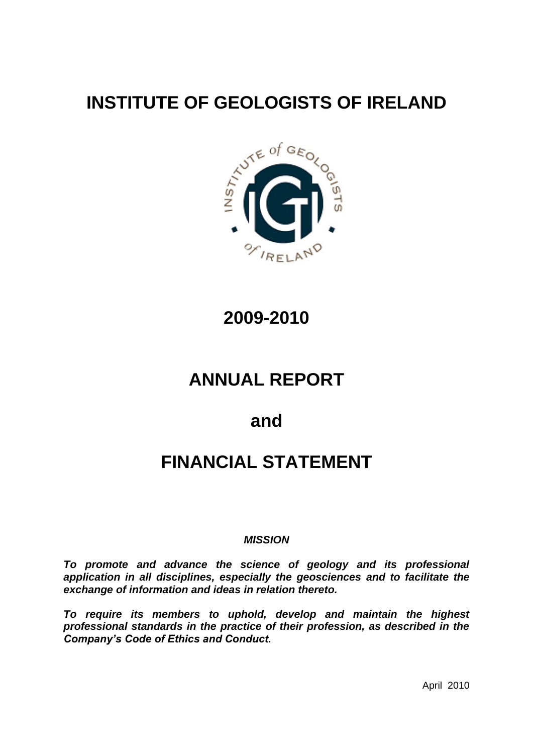# **INSTITUTE OF GEOLOGISTS OF IRELAND**



**2009-2010**

# **ANNUAL REPORT**

**and**

# **FINANCIAL STATEMENT**

#### *MISSION*

*To promote and advance the science of geology and its professional application in all disciplines, especially the geosciences and to facilitate the exchange of information and ideas in relation thereto.*

*To require its members to uphold, develop and maintain the highest professional standards in the practice of their profession, as described in the Company's Code of Ethics and Conduct.*

April 2010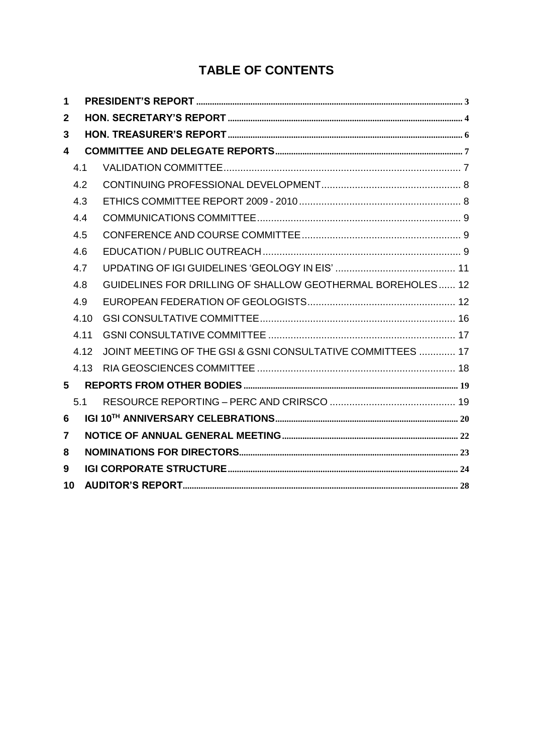# **TABLE OF CONTENTS**

| 1  |      |                                                             |
|----|------|-------------------------------------------------------------|
| 2  |      |                                                             |
| 3  |      |                                                             |
| 4  |      |                                                             |
|    | 4.1  |                                                             |
|    | 4.2  |                                                             |
|    | 4.3  |                                                             |
|    | 4.4  |                                                             |
|    | 4.5  |                                                             |
|    | 4.6  |                                                             |
|    | 4.7  |                                                             |
|    | 4.8  | GUIDELINES FOR DRILLING OF SHALLOW GEOTHERMAL BOREHOLES 12  |
|    | 4.9  |                                                             |
|    | 4.10 |                                                             |
|    | 4.11 |                                                             |
|    | 4.12 | JOINT MEETING OF THE GSI & GSNI CONSULTATIVE COMMITTEES  17 |
|    | 4.13 |                                                             |
| 5  |      |                                                             |
|    | 5.1  |                                                             |
| 6  |      |                                                             |
| 7  |      |                                                             |
| 8  |      |                                                             |
| 9  |      |                                                             |
| 10 |      |                                                             |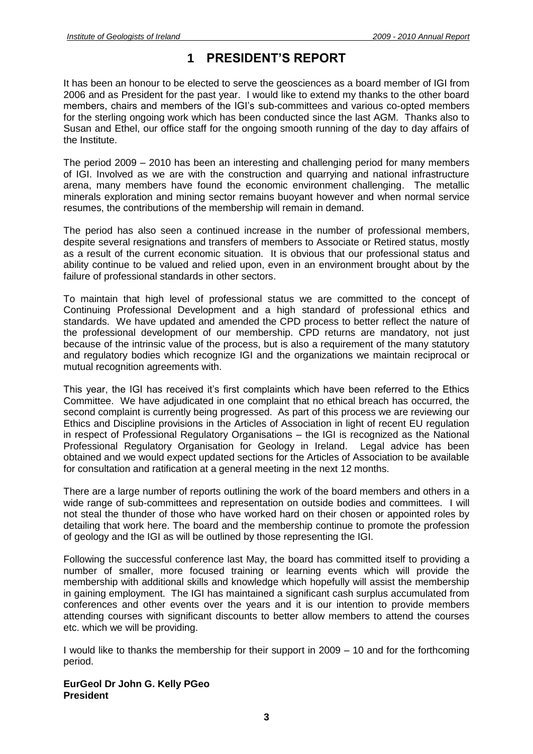## **1 PRESIDENT'S REPORT**

<span id="page-2-0"></span>It has been an honour to be elected to serve the geosciences as a board member of IGI from 2006 and as President for the past year. I would like to extend my thanks to the other board members, chairs and members of the IGI's sub-committees and various co-opted members for the sterling ongoing work which has been conducted since the last AGM. Thanks also to Susan and Ethel, our office staff for the ongoing smooth running of the day to day affairs of the Institute.

The period 2009 – 2010 has been an interesting and challenging period for many members of IGI. Involved as we are with the construction and quarrying and national infrastructure arena, many members have found the economic environment challenging. The metallic minerals exploration and mining sector remains buoyant however and when normal service resumes, the contributions of the membership will remain in demand.

The period has also seen a continued increase in the number of professional members, despite several resignations and transfers of members to Associate or Retired status, mostly as a result of the current economic situation. It is obvious that our professional status and ability continue to be valued and relied upon, even in an environment brought about by the failure of professional standards in other sectors.

To maintain that high level of professional status we are committed to the concept of Continuing Professional Development and a high standard of professional ethics and standards. We have updated and amended the CPD process to better reflect the nature of the professional development of our membership. CPD returns are mandatory, not just because of the intrinsic value of the process, but is also a requirement of the many statutory and regulatory bodies which recognize IGI and the organizations we maintain reciprocal or mutual recognition agreements with.

This year, the IGI has received it's first complaints which have been referred to the Ethics Committee. We have adjudicated in one complaint that no ethical breach has occurred, the second complaint is currently being progressed. As part of this process we are reviewing our Ethics and Discipline provisions in the Articles of Association in light of recent EU regulation in respect of Professional Regulatory Organisations – the IGI is recognized as the National Professional Regulatory Organisation for Geology in Ireland. Legal advice has been obtained and we would expect updated sections for the Articles of Association to be available for consultation and ratification at a general meeting in the next 12 months.

There are a large number of reports outlining the work of the board members and others in a wide range of sub-committees and representation on outside bodies and committees. I will not steal the thunder of those who have worked hard on their chosen or appointed roles by detailing that work here. The board and the membership continue to promote the profession of geology and the IGI as will be outlined by those representing the IGI.

Following the successful conference last May, the board has committed itself to providing a number of smaller, more focused training or learning events which will provide the membership with additional skills and knowledge which hopefully will assist the membership in gaining employment. The IGI has maintained a significant cash surplus accumulated from conferences and other events over the years and it is our intention to provide members attending courses with significant discounts to better allow members to attend the courses etc. which we will be providing.

I would like to thanks the membership for their support in 2009 – 10 and for the forthcoming period.

**EurGeol Dr John G. Kelly PGeo President**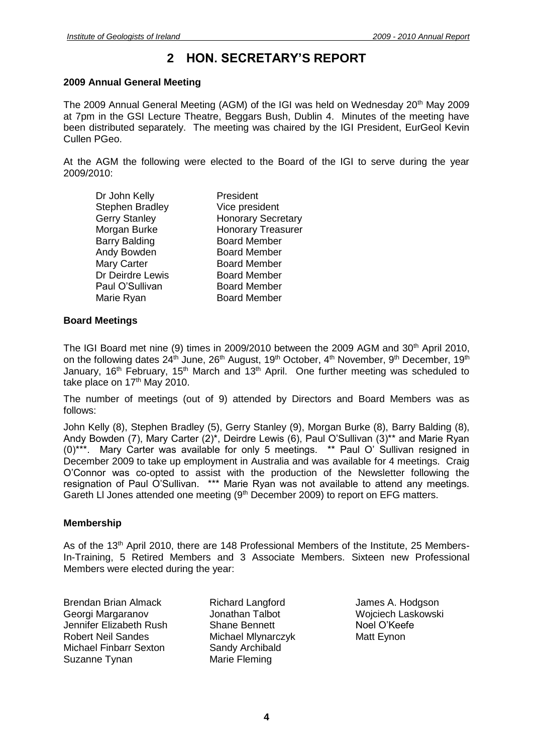## **2 HON. SECRETARY'S REPORT**

#### <span id="page-3-0"></span>**2009 Annual General Meeting**

The 2009 Annual General Meeting (AGM) of the IGI was held on Wednesday 20<sup>th</sup> May 2009 at 7pm in the GSI Lecture Theatre, Beggars Bush, Dublin 4. Minutes of the meeting have been distributed separately. The meeting was chaired by the IGI President, EurGeol Kevin Cullen PGeo.

At the AGM the following were elected to the Board of the IGI to serve during the year 2009/2010:

| Dr John Kelly          | President                 |
|------------------------|---------------------------|
| <b>Stephen Bradley</b> | Vice president            |
| <b>Gerry Stanley</b>   | <b>Honorary Secretary</b> |
| Morgan Burke           | <b>Honorary Treasurer</b> |
| <b>Barry Balding</b>   | <b>Board Member</b>       |
| Andy Bowden            | <b>Board Member</b>       |
| Mary Carter            | <b>Board Member</b>       |
| Dr Deirdre Lewis       | <b>Board Member</b>       |
| Paul O'Sullivan        | <b>Board Member</b>       |
| Marie Ryan             | <b>Board Member</b>       |
|                        |                           |

#### **Board Meetings**

The IGI Board met nine (9) times in 2009/2010 between the 2009 AGM and 30<sup>th</sup> April 2010, on the following dates  $24<sup>th</sup>$  June,  $26<sup>th</sup>$  August, 19<sup>th</sup> October, 4<sup>th</sup> November, 9<sup>th</sup> December, 19<sup>th</sup> January, 16<sup>th</sup> February, 15<sup>th</sup> March and 13<sup>th</sup> April. One further meeting was scheduled to take place on 17<sup>th</sup> May 2010.

The number of meetings (out of 9) attended by Directors and Board Members was as follows:

John Kelly (8), Stephen Bradley (5), Gerry Stanley (9), Morgan Burke (8), Barry Balding (8), Andy Bowden (7), Mary Carter (2)\*, Deirdre Lewis (6), Paul O'Sullivan (3)\*\* and Marie Ryan (0)\*\*\*. Mary Carter was available for only 5 meetings. \*\* Paul O' Sullivan resigned in December 2009 to take up employment in Australia and was available for 4 meetings. Craig O'Connor was co-opted to assist with the production of the Newsletter following the resignation of Paul O'Sullivan. \*\*\* Marie Ryan was not available to attend any meetings. Gareth LI Jones attended one meeting  $(9<sup>th</sup>$  December 2009) to report on EFG matters.

#### **Membership**

As of the 13th April 2010, there are 148 Professional Members of the Institute, 25 Members-In-Training, 5 Retired Members and 3 Associate Members. Sixteen new Professional Members were elected during the year:

Brendan Brian Almack Georgi Margaranov Jennifer Elizabeth Rush Robert Neil Sandes Michael Finbarr Sexton Suzanne Tynan

Richard Langford Jonathan Talbot Shane Bennett Michael Mlynarczyk Sandy Archibald Marie Fleming

James A. Hodgson Wojciech Laskowski Noel O'Keefe Matt Eynon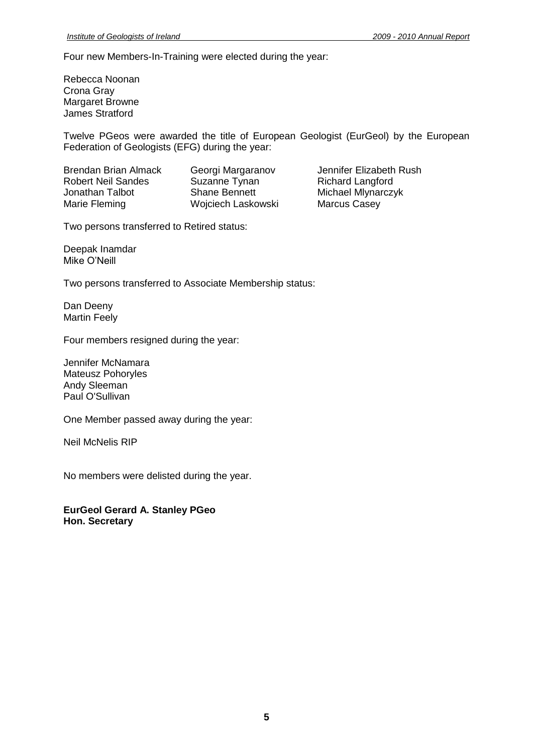Four new Members-In-Training were elected during the year:

Rebecca Noonan Crona Gray Margaret Browne James Stratford

Twelve PGeos were awarded the title of European Geologist (EurGeol) by the European Federation of Geologists (EFG) during the year:

Robert Neil Sandes Suzanne Tynan<br>
Jonathan Talbot Shane Bennett Marie Fleming **Marcus Casey** Wojciech Laskowski Marcus Casey

Brendan Brian Almack Georgi Margaranov Jennifer Elizabeth Rush<br>
Robert Neil Sandes Suzanne Tynan Richard Langford Michael Mlynarczyk

Two persons transferred to Retired status:

Deepak Inamdar Mike O'Neill

Two persons transferred to Associate Membership status:

Dan Deeny Martin Feely

Four members resigned during the year:

Jennifer McNamara Mateusz Pohoryles Andy Sleeman Paul O'Sullivan

One Member passed away during the year:

Neil McNelis RIP

No members were delisted during the year.

**EurGeol Gerard A. Stanley PGeo Hon. Secretary**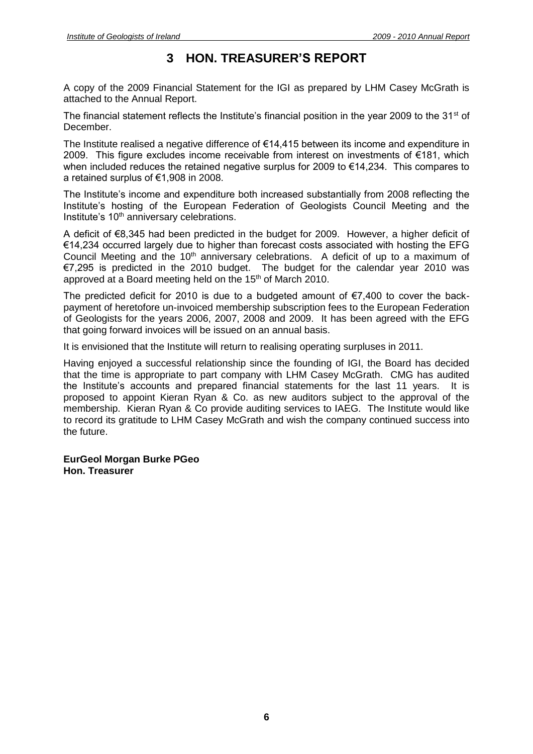## **3 HON. TREASURER'S REPORT**

<span id="page-5-0"></span>A copy of the 2009 Financial Statement for the IGI as prepared by LHM Casey McGrath is attached to the Annual Report.

The financial statement reflects the Institute's financial position in the year 2009 to the  $31<sup>st</sup>$  of December.

The Institute realised a negative difference of  $\epsilon$ 14,415 between its income and expenditure in 2009. This figure excludes income receivable from interest on investments of €181, which when included reduces the retained negative surplus for 2009 to €14,234. This compares to a retained surplus of €1,908 in 2008.

The Institute's income and expenditure both increased substantially from 2008 reflecting the Institute's hosting of the European Federation of Geologists Council Meeting and the Institute's 10<sup>th</sup> anniversary celebrations.

A deficit of €8,345 had been predicted in the budget for 2009. However, a higher deficit of €14,234 occurred largely due to higher than forecast costs associated with hosting the EFG Council Meeting and the  $10<sup>th</sup>$  anniversary celebrations. A deficit of up to a maximum of €7,295 is predicted in the 2010 budget. The budget for the calendar year 2010 was approved at a Board meeting held on the 15<sup>th</sup> of March 2010.

The predicted deficit for 2010 is due to a budgeted amount of  $\epsilon$ 7,400 to cover the backpayment of heretofore un-invoiced membership subscription fees to the European Federation of Geologists for the years 2006, 2007, 2008 and 2009. It has been agreed with the EFG that going forward invoices will be issued on an annual basis.

It is envisioned that the Institute will return to realising operating surpluses in 2011.

Having enjoyed a successful relationship since the founding of IGI, the Board has decided that the time is appropriate to part company with LHM Casey McGrath. CMG has audited the Institute's accounts and prepared financial statements for the last 11 years. It is proposed to appoint Kieran Ryan & Co. as new auditors subject to the approval of the membership. Kieran Ryan & Co provide auditing services to IAEG. The Institute would like to record its gratitude to LHM Casey McGrath and wish the company continued success into the future.

**EurGeol Morgan Burke PGeo Hon. Treasurer**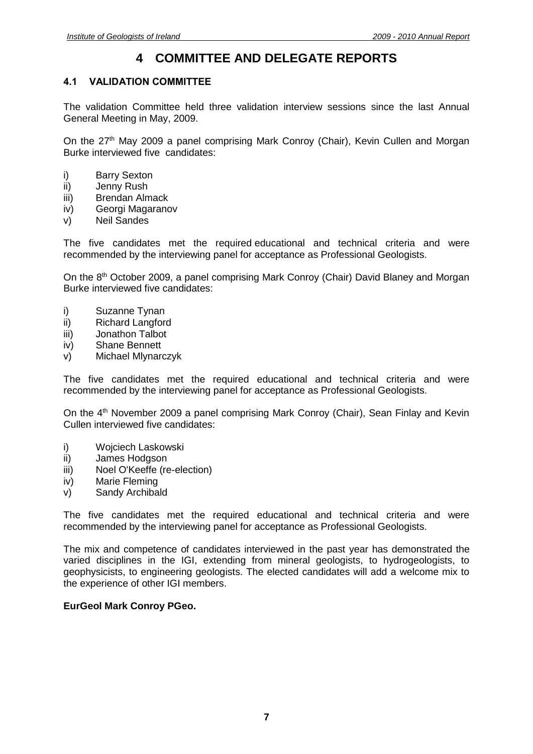## **4 COMMITTEE AND DELEGATE REPORTS**

#### <span id="page-6-1"></span><span id="page-6-0"></span>**4.1 VALIDATION COMMITTEE**

The validation Committee held three validation interview sessions since the last Annual General Meeting in May, 2009.

On the 27<sup>th</sup> May 2009 a panel comprising Mark Conroy (Chair), Kevin Cullen and Morgan Burke interviewed five candidates:

- i) Barry Sexton
- ii) Jenny Rush
- iii) Brendan Almack
- iv) Georgi Magaranov
- v) Neil Sandes

The five candidates met the required educational and technical criteria and were recommended by the interviewing panel for acceptance as Professional Geologists.

On the 8<sup>th</sup> October 2009, a panel comprising Mark Conroy (Chair) David Blaney and Morgan Burke interviewed five candidates:

- i) Suzanne Tynan
- ii) Richard Langford
- iii) Jonathon Talbot
- iv) Shane Bennett
- v) Michael Mlynarczyk

The five candidates met the required educational and technical criteria and were recommended by the interviewing panel for acceptance as Professional Geologists.

On the 4<sup>th</sup> November 2009 a panel comprising Mark Conroy (Chair), Sean Finlay and Kevin Cullen interviewed five candidates:

- i) Wojciech Laskowski
- ii) James Hodgson
- iii) Noel O'Keeffe (re-election)
- iv) Marie Fleming
- v) Sandy Archibald

The five candidates met the required educational and technical criteria and were recommended by the interviewing panel for acceptance as Professional Geologists.

The mix and competence of candidates interviewed in the past year has demonstrated the varied disciplines in the IGI, extending from mineral geologists, to hydrogeologists, to geophysicists, to engineering geologists. The elected candidates will add a welcome mix to the experience of other IGI members.

#### **EurGeol Mark Conroy PGeo.**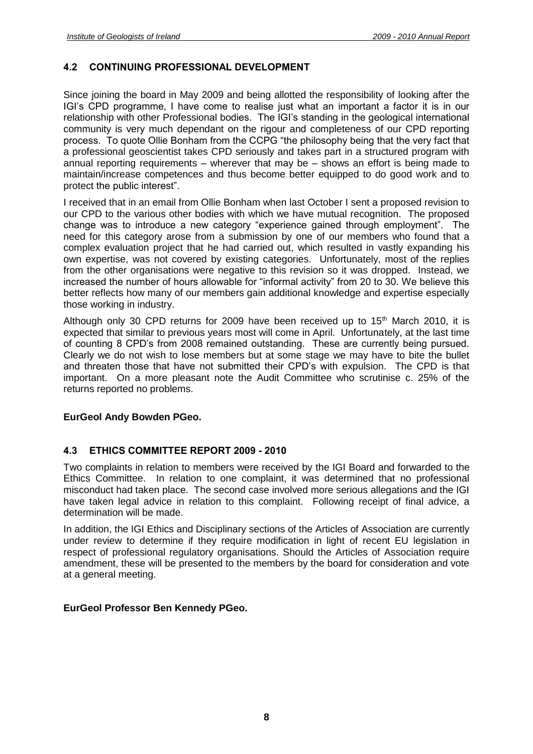#### <span id="page-7-0"></span>**4.2 CONTINUING PROFESSIONAL DEVELOPMENT**

Since joining the board in May 2009 and being allotted the responsibility of looking after the IGI's CPD programme, I have come to realise just what an important a factor it is in our relationship with other Professional bodies. The IGI's standing in the geological international community is very much dependant on the rigour and completeness of our CPD reporting process. To quote Ollie Bonham from the CCPG "the philosophy being that the very fact that a professional geoscientist takes CPD seriously and takes part in a structured program with annual reporting requirements – wherever that may be – shows an effort is being made to maintain/increase competences and thus become better equipped to do good work and to protect the public interest".

I received that in an email from Ollie Bonham when last October I sent a proposed revision to our CPD to the various other bodies with which we have mutual recognition. The proposed change was to introduce a new category "experience gained through employment". The need for this category arose from a submission by one of our members who found that a complex evaluation project that he had carried out, which resulted in vastly expanding his own expertise, was not covered by existing categories. Unfortunately, most of the replies from the other organisations were negative to this revision so it was dropped. Instead, we increased the number of hours allowable for "informal activity" from 20 to 30. We believe this better reflects how many of our members gain additional knowledge and expertise especially those working in industry.

Although only 30 CPD returns for 2009 have been received up to  $15<sup>th</sup>$  March 2010, it is expected that similar to previous years most will come in April. Unfortunately, at the last time of counting 8 CPD's from 2008 remained outstanding. These are currently being pursued. Clearly we do not wish to lose members but at some stage we may have to bite the bullet and threaten those that have not submitted their CPD's with expulsion. The CPD is that important. On a more pleasant note the Audit Committee who scrutinise c. 25% of the returns reported no problems.

#### **EurGeol Andy Bowden PGeo.**

#### <span id="page-7-1"></span>**4.3 ETHICS COMMITTEE REPORT 2009 - 2010**

Two complaints in relation to members were received by the IGI Board and forwarded to the Ethics Committee. In relation to one complaint, it was determined that no professional misconduct had taken place. The second case involved more serious allegations and the IGI have taken legal advice in relation to this complaint. Following receipt of final advice, a determination will be made.

In addition, the IGI Ethics and Disciplinary sections of the Articles of Association are currently under review to determine if they require modification in light of recent EU legislation in respect of professional regulatory organisations. Should the Articles of Association require amendment, these will be presented to the members by the board for consideration and vote at a general meeting.

#### **EurGeol Professor Ben Kennedy PGeo.**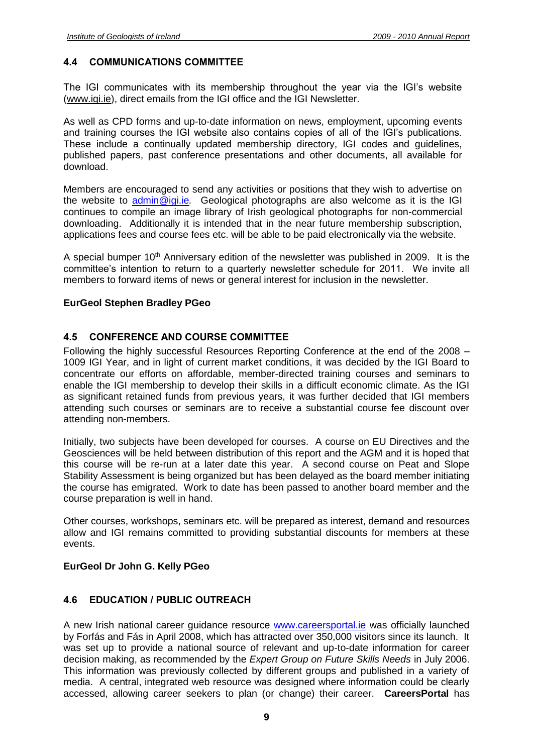#### <span id="page-8-0"></span>**4.4 COMMUNICATIONS COMMITTEE**

The IGI communicates with its membership throughout the year via the IGI's website [\(www.igi.ie\)](http://www.igi.ie/), direct emails from the IGI office and the IGI Newsletter.

As well as CPD forms and up-to-date information on news, employment, upcoming events and training courses the IGI website also contains copies of all of the IGI's publications. These include a continually updated membership directory, IGI codes and guidelines, published papers, past conference presentations and other documents, all available for download.

Members are encouraged to send any activities or positions that they wish to advertise on the website to [admin@igi.ie](mailto:admin@igi.ie)*.* Geological photographs are also welcome as it is the IGI continues to compile an image library of Irish geological photographs for non-commercial downloading. Additionally it is intended that in the near future membership subscription, applications fees and course fees etc. will be able to be paid electronically via the website.

A special bumper 10<sup>th</sup> Anniversary edition of the newsletter was published in 2009. It is the committee's intention to return to a quarterly newsletter schedule for 2011. We invite all members to forward items of news or general interest for inclusion in the newsletter.

#### **EurGeol Stephen Bradley PGeo**

#### <span id="page-8-1"></span>**4.5 CONFERENCE AND COURSE COMMITTEE**

Following the highly successful Resources Reporting Conference at the end of the 2008 – 1009 IGI Year, and in light of current market conditions, it was decided by the IGI Board to concentrate our efforts on affordable, member-directed training courses and seminars to enable the IGI membership to develop their skills in a difficult economic climate. As the IGI as significant retained funds from previous years, it was further decided that IGI members attending such courses or seminars are to receive a substantial course fee discount over attending non-members.

Initially, two subjects have been developed for courses. A course on EU Directives and the Geosciences will be held between distribution of this report and the AGM and it is hoped that this course will be re-run at a later date this year. A second course on Peat and Slope Stability Assessment is being organized but has been delayed as the board member initiating the course has emigrated. Work to date has been passed to another board member and the course preparation is well in hand.

Other courses, workshops, seminars etc. will be prepared as interest, demand and resources allow and IGI remains committed to providing substantial discounts for members at these events.

#### **EurGeol Dr John G. Kelly PGeo**

#### <span id="page-8-2"></span>**4.6 EDUCATION / PUBLIC OUTREACH**

A new Irish national career guidance resource [www.careersportal.ie](http://www.careersportal.ie/) was officially launched by Forfás and Fás in April 2008, which has attracted over 350,000 visitors since its launch. It was set up to provide a national source of relevant and up-to-date information for career decision making, as recommended by the *Expert Group on Future Skills Needs* in July 2006. This information was previously collected by different groups and published in a variety of media. A central, integrated web resource was designed where information could be clearly accessed, allowing career seekers to plan (or change) their career. **CareersPortal** has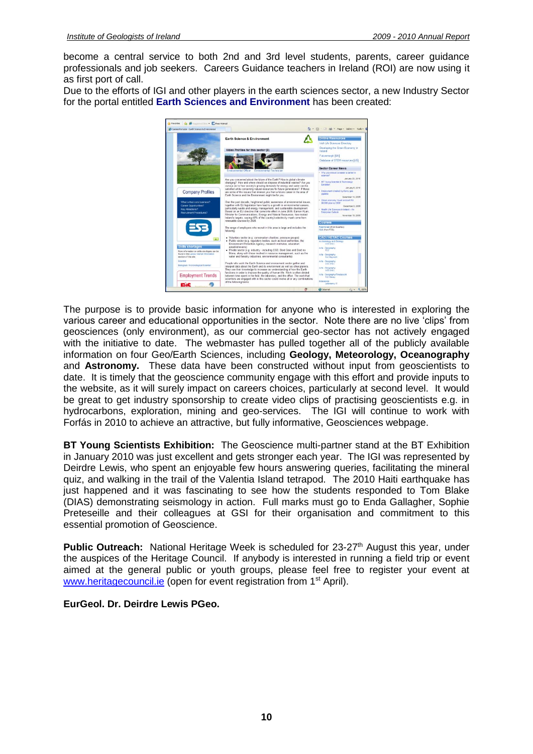become a central service to both 2nd and 3rd level students, parents, career guidance professionals and job seekers. Careers Guidance teachers in Ireland (ROI) are now using it as first port of call.

Due to the efforts of IGI and other players in the earth sciences sector, a new Industry Sector for the portal entitled **Earth Sciences and Environment** has been created:



The purpose is to provide basic information for anyone who is interested in exploring the various career and educational opportunities in the sector. Note there are no live 'clips' from geosciences (only environment), as our commercial geo-sector has not actively engaged with the initiative to date. The webmaster has pulled together all of the publicly available information on four Geo/Earth Sciences, including **Geology, Meteorology, Oceanography**  and **Astronomy.** These data have been constructed without input from geoscientists to date. It is timely that the geoscience community engage with this effort and provide inputs to the website, as it will surely impact on careers choices, particularly at second level. It would be great to get industry sponsorship to create video clips of practising geoscientists e.g. in hydrocarbons, exploration, mining and geo-services. The IGI will continue to work with Forfás in 2010 to achieve an attractive, but fully informative, Geosciences webpage.

**BT Young Scientists Exhibition:** The Geoscience multi-partner stand at the BT Exhibition in January 2010 was just excellent and gets stronger each year. The IGI was represented by Deirdre Lewis, who spent an enjoyable few hours answering queries, facilitating the mineral quiz, and walking in the trail of the Valentia Island tetrapod. The 2010 Haiti earthquake has just happened and it was fascinating to see how the students responded to Tom Blake (DIAS) demonstrating seismology in action. Full marks must go to Enda Gallagher, Sophie Preteseille and their colleagues at GSI for their organisation and commitment to this essential promotion of Geoscience.

**Public Outreach:** National Heritage Week is scheduled for 23-27<sup>th</sup> August this year, under the auspices of the Heritage Council. If anybody is interested in running a field trip or event aimed at the general public or youth groups, please feel free to register your event at [www.heritagecouncil.ie](http://www.heritagecouncil.ie/) (open for event registration from 1<sup>st</sup> April).

**EurGeol. Dr. Deirdre Lewis PGeo.**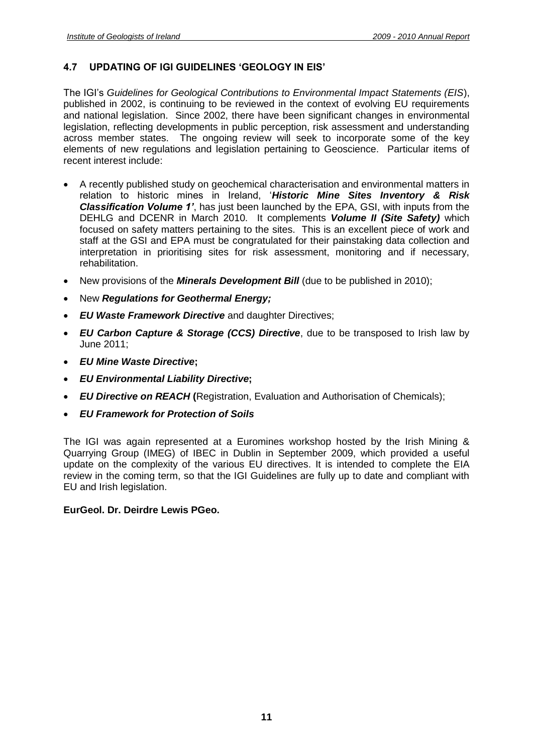#### <span id="page-10-0"></span>**4.7 UPDATING OF IGI GUIDELINES 'GEOLOGY IN EIS'**

The IGI's *Guidelines for Geological Contributions to Environmental Impact Statements (EIS*), published in 2002, is continuing to be reviewed in the context of evolving EU requirements and national legislation. Since 2002, there have been significant changes in environmental legislation, reflecting developments in public perception, risk assessment and understanding across member states. The ongoing review will seek to incorporate some of the key elements of new regulations and legislation pertaining to Geoscience. Particular items of recent interest include:

- A recently published study on geochemical characterisation and environmental matters in relation to historic mines in Ireland, '*Historic Mine Sites Inventory & Risk Classification Volume 1'*, has just been launched by the EPA, GSI, with inputs from the DEHLG and DCENR in March 2010. It complements *Volume II (Site Safety)* which focused on safety matters pertaining to the sites. This is an excellent piece of work and staff at the GSI and EPA must be congratulated for their painstaking data collection and interpretation in prioritising sites for risk assessment, monitoring and if necessary, rehabilitation.
- New provisions of the *Minerals Development Bill* (due to be published in 2010);
- New *Regulations for Geothermal Energy;*
- *EU Waste Framework Directive* and daughter Directives;
- *EU Carbon Capture & Storage (CCS) Directive*, due to be transposed to Irish law by June 2011;
- *EU Mine Waste Directive***;**
- *EU Environmental Liability Directive***;**
- *EU Directive on REACH* **(**Registration, Evaluation and Authorisation of Chemicals);
- *EU Framework for Protection of Soils*

The IGI was again represented at a Euromines workshop hosted by the Irish Mining & Quarrying Group (IMEG) of IBEC in Dublin in September 2009, which provided a useful update on the complexity of the various EU directives. It is intended to complete the EIA review in the coming term, so that the IGI Guidelines are fully up to date and compliant with EU and Irish legislation.

#### **EurGeol. Dr. Deirdre Lewis PGeo.**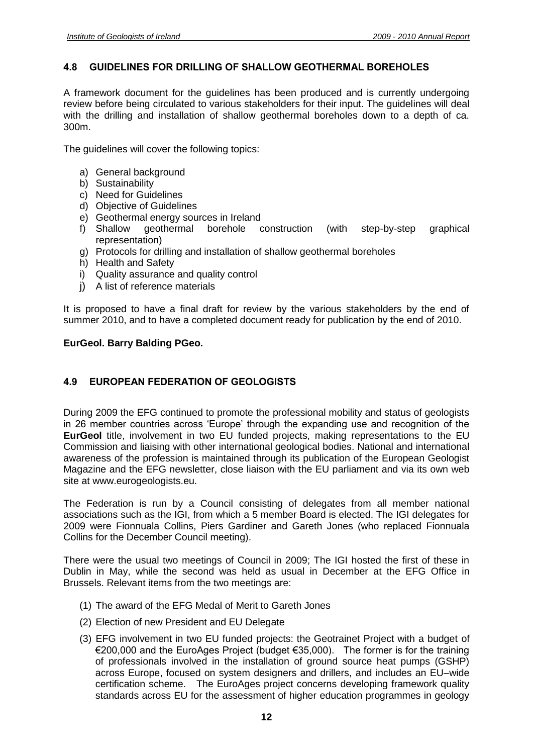#### <span id="page-11-0"></span>**4.8 GUIDELINES FOR DRILLING OF SHALLOW GEOTHERMAL BOREHOLES**

A framework document for the guidelines has been produced and is currently undergoing review before being circulated to various stakeholders for their input. The guidelines will deal with the drilling and installation of shallow geothermal boreholes down to a depth of ca. 300m.

The guidelines will cover the following topics:

- a) General background
- b) Sustainability
- c) Need for Guidelines
- d) Objective of Guidelines
- e) Geothermal energy sources in Ireland
- f) Shallow geothermal borehole construction (with step-by-step graphical representation)
- g) Protocols for drilling and installation of shallow geothermal boreholes
- h) Health and Safety
- i) Quality assurance and quality control
- i) A list of reference materials

It is proposed to have a final draft for review by the various stakeholders by the end of summer 2010, and to have a completed document ready for publication by the end of 2010.

#### **EurGeol. Barry Balding PGeo.**

#### <span id="page-11-1"></span>**4.9 EUROPEAN FEDERATION OF GEOLOGISTS**

During 2009 the EFG continued to promote the professional mobility and status of geologists in 26 member countries across 'Europe' through the expanding use and recognition of the **EurGeol** title, involvement in two EU funded projects, making representations to the EU Commission and liaising with other international geological bodies. National and international awareness of the profession is maintained through its publication of the European Geologist Magazine and the EFG newsletter, close liaison with the EU parliament and via its own web site at www.eurogeologists.eu.

The Federation is run by a Council consisting of delegates from all member national associations such as the IGI, from which a 5 member Board is elected. The IGI delegates for 2009 were Fionnuala Collins, Piers Gardiner and Gareth Jones (who replaced Fionnuala Collins for the December Council meeting).

There were the usual two meetings of Council in 2009; The IGI hosted the first of these in Dublin in May, while the second was held as usual in December at the EFG Office in Brussels. Relevant items from the two meetings are:

- (1) The award of the EFG Medal of Merit to Gareth Jones
- (2) Election of new President and EU Delegate
- (3) EFG involvement in two EU funded projects: the Geotrainet Project with a budget of €200,000 and the EuroAges Project (budget €35,000). The former is for the training of professionals involved in the installation of ground source heat pumps (GSHP) across Europe, focused on system designers and drillers, and includes an EU–wide certification scheme. The EuroAges project concerns developing framework quality standards across EU for the assessment of higher education programmes in geology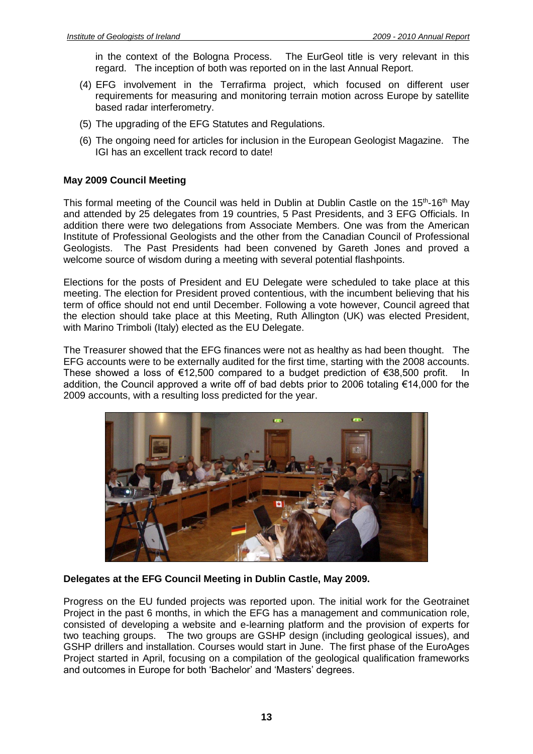in the context of the Bologna Process. The EurGeol title is very relevant in this regard. The inception of both was reported on in the last Annual Report.

- (4) EFG involvement in the Terrafirma project, which focused on different user requirements for measuring and monitoring terrain motion across Europe by satellite based radar interferometry.
- (5) The upgrading of the EFG Statutes and Regulations.
- (6) The ongoing need for articles for inclusion in the European Geologist Magazine. The IGI has an excellent track record to date!

#### **May 2009 Council Meeting**

This formal meeting of the Council was held in Dublin at Dublin Castle on the 15<sup>th</sup>-16<sup>th</sup> May and attended by 25 delegates from 19 countries, 5 Past Presidents, and 3 EFG Officials. In addition there were two delegations from Associate Members. One was from the American Institute of Professional Geologists and the other from the Canadian Council of Professional Geologists. The Past Presidents had been convened by Gareth Jones and proved a welcome source of wisdom during a meeting with several potential flashpoints.

Elections for the posts of President and EU Delegate were scheduled to take place at this meeting. The election for President proved contentious, with the incumbent believing that his term of office should not end until December. Following a vote however, Council agreed that the election should take place at this Meeting, Ruth Allington (UK) was elected President, with Marino Trimboli (Italy) elected as the EU Delegate.

The Treasurer showed that the EFG finances were not as healthy as had been thought. The EFG accounts were to be externally audited for the first time, starting with the 2008 accounts. These showed a loss of €12,500 compared to a budget prediction of €38,500 profit. In addition, the Council approved a write off of bad debts prior to 2006 totaling €14,000 for the 2009 accounts, with a resulting loss predicted for the year.



#### **Delegates at the EFG Council Meeting in Dublin Castle, May 2009.**

Progress on the EU funded projects was reported upon. The initial work for the Geotrainet Project in the past 6 months, in which the EFG has a management and communication role, consisted of developing a website and e-learning platform and the provision of experts for two teaching groups. The two groups are GSHP design (including geological issues), and GSHP drillers and installation. Courses would start in June. The first phase of the EuroAges Project started in April, focusing on a compilation of the geological qualification frameworks and outcomes in Europe for both 'Bachelor' and 'Masters' degrees.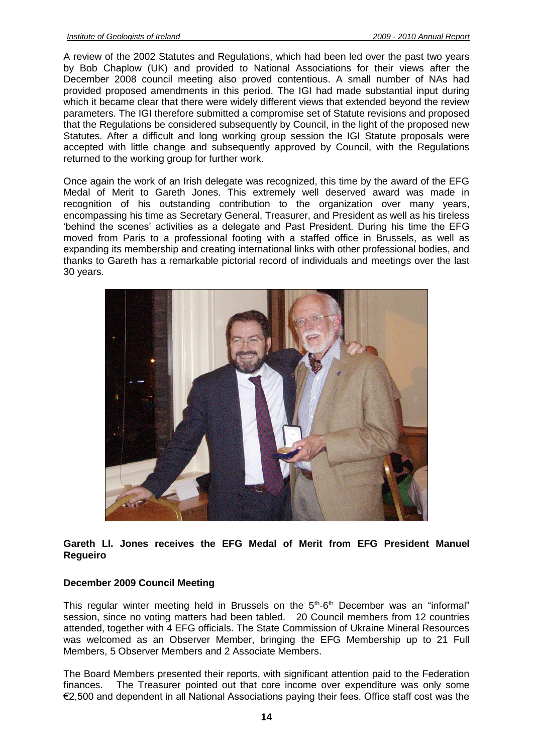A review of the 2002 Statutes and Regulations, which had been led over the past two years by Bob Chaplow (UK) and provided to National Associations for their views after the December 2008 council meeting also proved contentious. A small number of NAs had provided proposed amendments in this period. The IGI had made substantial input during which it became clear that there were widely different views that extended beyond the review parameters. The IGI therefore submitted a compromise set of Statute revisions and proposed that the Regulations be considered subsequently by Council, in the light of the proposed new Statutes. After a difficult and long working group session the IGI Statute proposals were accepted with little change and subsequently approved by Council, with the Regulations returned to the working group for further work.

Once again the work of an Irish delegate was recognized, this time by the award of the EFG Medal of Merit to Gareth Jones. This extremely well deserved award was made in recognition of his outstanding contribution to the organization over many years, encompassing his time as Secretary General, Treasurer, and President as well as his tireless 'behind the scenes' activities as a delegate and Past President. During his time the EFG moved from Paris to a professional footing with a staffed office in Brussels, as well as expanding its membership and creating international links with other professional bodies, and thanks to Gareth has a remarkable pictorial record of individuals and meetings over the last 30 years.



#### **Gareth Ll. Jones receives the EFG Medal of Merit from EFG President Manuel Regueiro**

#### **December 2009 Council Meeting**

This regular winter meeting held in Brussels on the  $5<sup>th</sup>$ -6<sup>th</sup> December was an "informal" session, since no voting matters had been tabled. 20 Council members from 12 countries attended, together with 4 EFG officials. The State Commission of Ukraine Mineral Resources was welcomed as an Observer Member, bringing the EFG Membership up to 21 Full Members, 5 Observer Members and 2 Associate Members.

The Board Members presented their reports, with significant attention paid to the Federation finances. The Treasurer pointed out that core income over expenditure was only some €2,500 and dependent in all National Associations paying their fees. Office staff cost was the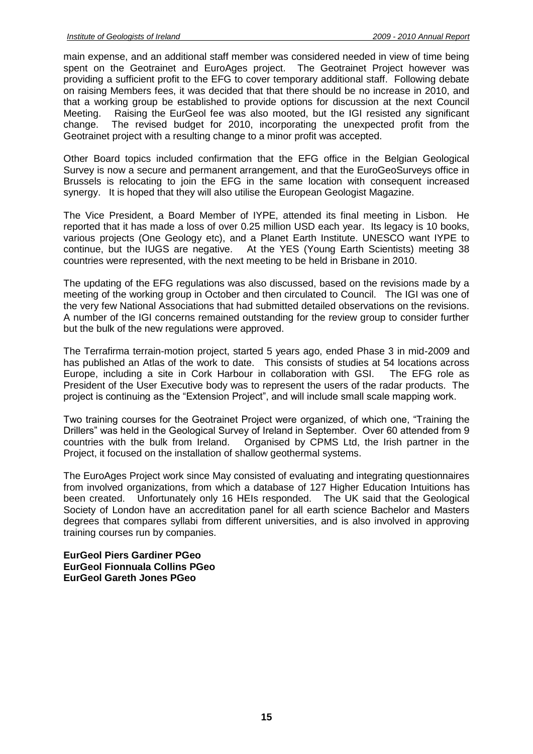main expense, and an additional staff member was considered needed in view of time being spent on the Geotrainet and EuroAges project. The Geotrainet Project however was providing a sufficient profit to the EFG to cover temporary additional staff. Following debate on raising Members fees, it was decided that that there should be no increase in 2010, and that a working group be established to provide options for discussion at the next Council Meeting. Raising the EurGeol fee was also mooted, but the IGI resisted any significant change. The revised budget for 2010, incorporating the unexpected profit from the Geotrainet project with a resulting change to a minor profit was accepted.

Other Board topics included confirmation that the EFG office in the Belgian Geological Survey is now a secure and permanent arrangement, and that the EuroGeoSurveys office in Brussels is relocating to join the EFG in the same location with consequent increased synergy. It is hoped that they will also utilise the European Geologist Magazine.

The Vice President, a Board Member of IYPE, attended its final meeting in Lisbon. He reported that it has made a loss of over 0.25 million USD each year. Its legacy is 10 books, various projects (One Geology etc), and a Planet Earth Institute. UNESCO want IYPE to continue, but the IUGS are negative. At the YES (Young Earth Scientists) meeting 38 countries were represented, with the next meeting to be held in Brisbane in 2010.

The updating of the EFG regulations was also discussed, based on the revisions made by a meeting of the working group in October and then circulated to Council. The IGI was one of the very few National Associations that had submitted detailed observations on the revisions. A number of the IGI concerns remained outstanding for the review group to consider further but the bulk of the new regulations were approved.

The Terrafirma terrain-motion project, started 5 years ago, ended Phase 3 in mid-2009 and has published an Atlas of the work to date. This consists of studies at 54 locations across Europe, including a site in Cork Harbour in collaboration with GSI. The EFG role as President of the User Executive body was to represent the users of the radar products. The project is continuing as the "Extension Project", and will include small scale mapping work.

Two training courses for the Geotrainet Project were organized, of which one, "Training the Drillers" was held in the Geological Survey of Ireland in September. Over 60 attended from 9 countries with the bulk from Ireland. Organised by CPMS Ltd, the Irish partner in the Project, it focused on the installation of shallow geothermal systems.

The EuroAges Project work since May consisted of evaluating and integrating questionnaires from involved organizations, from which a database of 127 Higher Education Intuitions has been created. Unfortunately only 16 HEIs responded. The UK said that the Geological Society of London have an accreditation panel for all earth science Bachelor and Masters degrees that compares syllabi from different universities, and is also involved in approving training courses run by companies.

**EurGeol Piers Gardiner PGeo EurGeol Fionnuala Collins PGeo EurGeol Gareth Jones PGeo**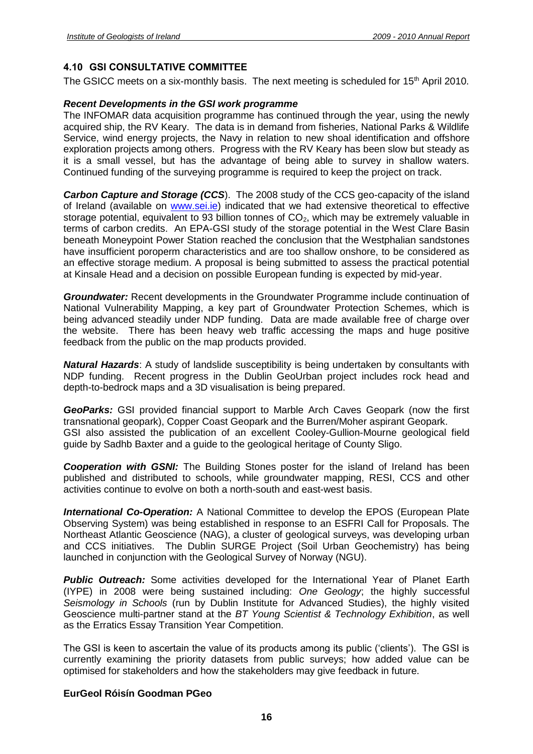#### <span id="page-15-0"></span>**4.10 GSI CONSULTATIVE COMMITTEE**

The GSICC meets on a six-monthly basis. The next meeting is scheduled for  $15<sup>th</sup>$  April 2010.

#### *Recent Developments in the GSI work programme*

The INFOMAR data acquisition programme has continued through the year, using the newly acquired ship, the RV Keary. The data is in demand from fisheries, National Parks & Wildlife Service, wind energy projects, the Navy in relation to new shoal identification and offshore exploration projects among others. Progress with the RV Keary has been slow but steady as it is a small vessel, but has the advantage of being able to survey in shallow waters. Continued funding of the surveying programme is required to keep the project on track.

*Carbon Capture and Storage (CCS*). The 2008 study of the CCS geo-capacity of the island of Ireland (available on [www.sei.ie\)](http://www.sei.ie/) indicated that we had extensive theoretical to effective storage potential, equivalent to 93 billion tonnes of  $CO<sub>2</sub>$ , which may be extremely valuable in terms of carbon credits. An EPA-GSI study of the storage potential in the West Clare Basin beneath Moneypoint Power Station reached the conclusion that the Westphalian sandstones have insufficient poroperm characteristics and are too shallow onshore, to be considered as an effective storage medium. A proposal is being submitted to assess the practical potential at Kinsale Head and a decision on possible European funding is expected by mid-year.

*Groundwater:* Recent developments in the Groundwater Programme include continuation of National Vulnerability Mapping, a key part of Groundwater Protection Schemes, which is being advanced steadily under NDP funding. Data are made available free of charge over the website. There has been heavy web traffic accessing the maps and huge positive feedback from the public on the map products provided.

*Natural Hazards*: A study of landslide susceptibility is being undertaken by consultants with NDP funding. Recent progress in the Dublin GeoUrban project includes rock head and depth-to-bedrock maps and a 3D visualisation is being prepared.

*GeoParks:* GSI provided financial support to Marble Arch Caves Geopark (now the first transnational geopark), Copper Coast Geopark and the Burren/Moher aspirant Geopark. GSI also assisted the publication of an excellent Cooley-Gullion-Mourne geological field guide by Sadhb Baxter and a guide to the geological heritage of County Sligo.

**Cooperation with GSNI:** The Building Stones poster for the island of Ireland has been published and distributed to schools, while groundwater mapping, RESI, CCS and other activities continue to evolve on both a north-south and east-west basis.

*International Co-Operation:* A National Committee to develop the EPOS (European Plate Observing System) was being established in response to an ESFRI Call for Proposals. The Northeast Atlantic Geoscience (NAG), a cluster of geological surveys, was developing urban and CCS initiatives. The Dublin SURGE Project (Soil Urban Geochemistry) has being launched in conjunction with the Geological Survey of Norway (NGU).

**Public Outreach:** Some activities developed for the International Year of Planet Earth (IYPE) in 2008 were being sustained including: *One Geology*; the highly successful *Seismology in Schools* (run by Dublin Institute for Advanced Studies), the highly visited Geoscience multi-partner stand at the *BT Young Scientist & Technology Exhibition*, as well as the Erratics Essay Transition Year Competition.

The GSI is keen to ascertain the value of its products among its public ('clients'). The GSI is currently examining the priority datasets from public surveys; how added value can be optimised for stakeholders and how the stakeholders may give feedback in future.

#### **EurGeol Róisín Goodman PGeo**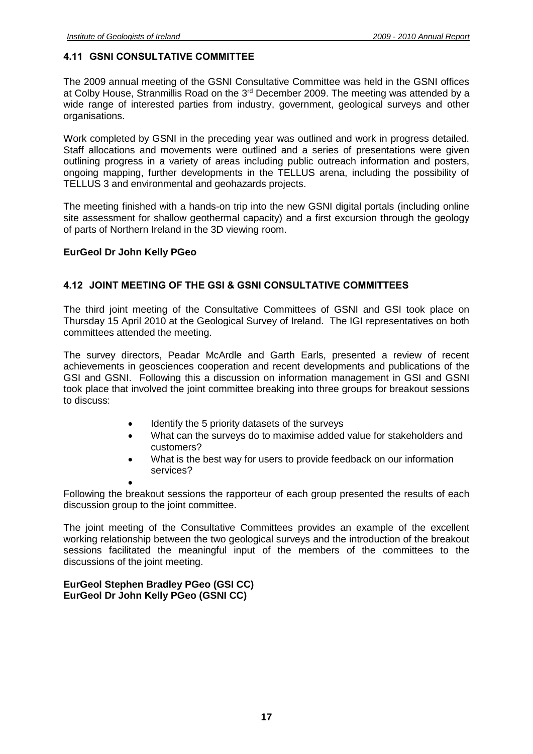#### <span id="page-16-0"></span>**4.11 GSNI CONSULTATIVE COMMITTEE**

The 2009 annual meeting of the GSNI Consultative Committee was held in the GSNI offices at Colby House, Stranmillis Road on the 3<sup>rd</sup> December 2009. The meeting was attended by a wide range of interested parties from industry, government, geological surveys and other organisations.

Work completed by GSNI in the preceding year was outlined and work in progress detailed. Staff allocations and movements were outlined and a series of presentations were given outlining progress in a variety of areas including public outreach information and posters, ongoing mapping, further developments in the TELLUS arena, including the possibility of TELLUS 3 and environmental and geohazards projects.

The meeting finished with a hands-on trip into the new GSNI digital portals (including online site assessment for shallow geothermal capacity) and a first excursion through the geology of parts of Northern Ireland in the 3D viewing room.

#### **EurGeol Dr John Kelly PGeo**

#### <span id="page-16-1"></span>**4.12 JOINT MEETING OF THE GSI & GSNI CONSULTATIVE COMMITTEES**

The third joint meeting of the Consultative Committees of GSNI and GSI took place on Thursday 15 April 2010 at the Geological Survey of Ireland. The IGI representatives on both committees attended the meeting.

The survey directors, Peadar McArdle and Garth Earls, presented a review of recent achievements in geosciences cooperation and recent developments and publications of the GSI and GSNI. Following this a discussion on information management in GSI and GSNI took place that involved the joint committee breaking into three groups for breakout sessions to discuss:

- Identify the 5 priority datasets of the surveys
- What can the surveys do to maximise added value for stakeholders and customers?
- What is the best way for users to provide feedback on our information services?

• Following the breakout sessions the rapporteur of each group presented the results of each discussion group to the joint committee.

The joint meeting of the Consultative Committees provides an example of the excellent working relationship between the two geological surveys and the introduction of the breakout sessions facilitated the meaningful input of the members of the committees to the discussions of the joint meeting.

<span id="page-16-2"></span>**EurGeol Stephen Bradley PGeo (GSI CC) EurGeol Dr John Kelly PGeo (GSNI CC)**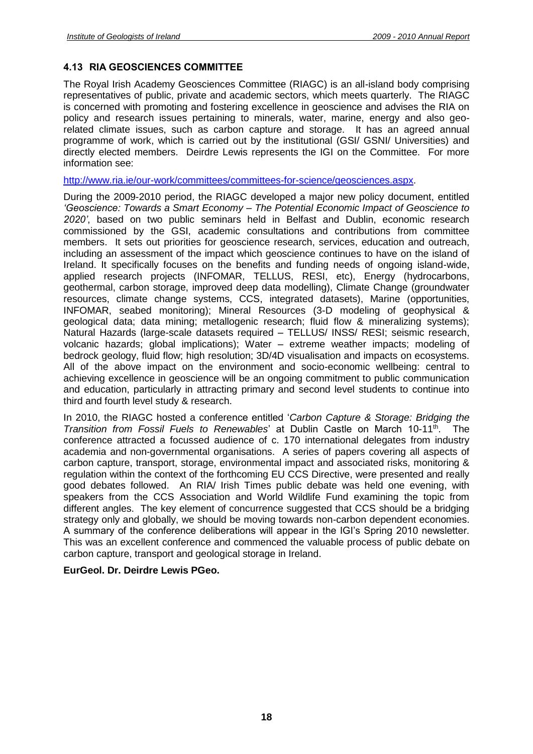#### **4.13 RIA GEOSCIENCES COMMITTEE**

The Royal Irish Academy Geosciences Committee (RIAGC) is an all-island body comprising representatives of public, private and academic sectors, which meets quarterly. The RIAGC is concerned with promoting and fostering excellence in geoscience and advises the RIA on policy and research issues pertaining to minerals, water, marine, energy and also georelated climate issues, such as carbon capture and storage. It has an agreed annual programme of work, which is carried out by the institutional (GSI/ GSNI/ Universities) and directly elected members. Deirdre Lewis represents the IGI on the Committee. For more information see:

[http://www.ria.ie/our-work/committees/committees-for-science/geosciences.aspx.](http://www.ria.ie/our-work/committees/committees-for-science/geosciences.aspx)

During the 2009-2010 period, the RIAGC developed a major new policy document, entitled *'Geoscience: Towards a Smart Economy – The Potential Economic Impact of Geoscience to 2020'*, based on two public seminars held in Belfast and Dublin, economic research commissioned by the GSI, academic consultations and contributions from committee members. It sets out priorities for geoscience research, services, education and outreach, including an assessment of the impact which geoscience continues to have on the island of Ireland. It specifically focuses on the benefits and funding needs of ongoing island-wide, applied research projects (INFOMAR, TELLUS, RESI, etc), Energy (hydrocarbons, geothermal, carbon storage, improved deep data modelling), Climate Change (groundwater resources, climate change systems, CCS, integrated datasets), Marine (opportunities, INFOMAR, seabed monitoring); Mineral Resources (3-D modeling of geophysical & geological data; data mining; metallogenic research; fluid flow & mineralizing systems); Natural Hazards (large-scale datasets required – TELLUS/ INSS/ RESI; seismic research, volcanic hazards; global implications); Water – extreme weather impacts; modeling of bedrock geology, fluid flow; high resolution; 3D/4D visualisation and impacts on ecosystems. All of the above impact on the environment and socio-economic wellbeing: central to achieving excellence in geoscience will be an ongoing commitment to public communication and education, particularly in attracting primary and second level students to continue into third and fourth level study & research.

In 2010, the RIAGC hosted a conference entitled '*Carbon Capture & Storage: Bridging the Transition from Fossil Fuels to Renewables*' at Dublin Castle on March 10-11<sup>th</sup>. The conference attracted a focussed audience of c. 170 international delegates from industry academia and non-governmental organisations. A series of papers covering all aspects of carbon capture, transport, storage, environmental impact and associated risks, monitoring & regulation within the context of the forthcoming EU CCS Directive, were presented and really good debates followed. An RIA/ Irish Times public debate was held one evening, with speakers from the CCS Association and World Wildlife Fund examining the topic from different angles. The key element of concurrence suggested that CCS should be a bridging strategy only and globally, we should be moving towards non-carbon dependent economies. A summary of the conference deliberations will appear in the IGI's Spring 2010 newsletter. This was an excellent conference and commenced the valuable process of public debate on carbon capture, transport and geological storage in Ireland.

#### **EurGeol. Dr. Deirdre Lewis PGeo.**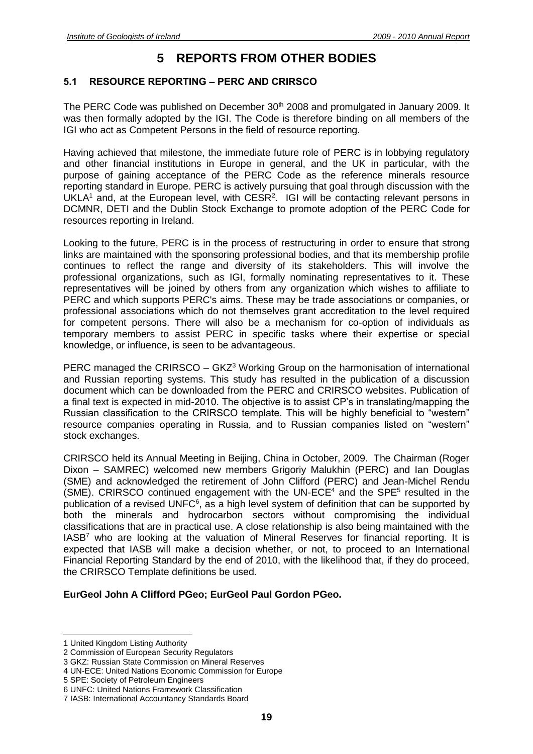## **5 REPORTS FROM OTHER BODIES**

#### <span id="page-18-1"></span><span id="page-18-0"></span>**5.1 RESOURCE REPORTING – PERC AND CRIRSCO**

The PERC Code was published on December 30<sup>th</sup> 2008 and promulgated in January 2009. It was then formally adopted by the IGI. The Code is therefore binding on all members of the IGI who act as Competent Persons in the field of resource reporting.

Having achieved that milestone, the immediate future role of PERC is in lobbying regulatory and other financial institutions in Europe in general, and the UK in particular, with the purpose of gaining acceptance of the PERC Code as the reference minerals resource reporting standard in Europe. PERC is actively pursuing that goal through discussion with the UKLA<sup>1</sup> and, at the European level, with  $CESR<sup>2</sup>$ . IGI will be contacting relevant persons in DCMNR, DETI and the Dublin Stock Exchange to promote adoption of the PERC Code for resources reporting in Ireland.

Looking to the future, PERC is in the process of restructuring in order to ensure that strong links are maintained with the sponsoring professional bodies, and that its membership profile continues to reflect the range and diversity of its stakeholders. This will involve the professional organizations, such as IGI, formally nominating representatives to it. These representatives will be joined by others from any organization which wishes to affiliate to PERC and which supports PERC's aims. These may be trade associations or companies, or professional associations which do not themselves grant accreditation to the level required for competent persons. There will also be a mechanism for co-option of individuals as temporary members to assist PERC in specific tasks where their expertise or special knowledge, or influence, is seen to be advantageous.

PERC managed the CRIRSCO –  $GKZ<sup>3</sup>$  Working Group on the harmonisation of international and Russian reporting systems. This study has resulted in the publication of a discussion document which can be downloaded from the PERC and CRIRSCO websites. Publication of a final text is expected in mid-2010. The objective is to assist CP's in translating/mapping the Russian classification to the CRIRSCO template. This will be highly beneficial to "western" resource companies operating in Russia, and to Russian companies listed on "western" stock exchanges.

CRIRSCO held its Annual Meeting in Beijing, China in October, 2009. The Chairman (Roger Dixon – SAMREC) welcomed new members Grigoriy Malukhin (PERC) and Ian Douglas (SME) and acknowledged the retirement of John Clifford (PERC) and Jean-Michel Rendu (SME). CRIRSCO continued engagement with the UN-ECE $4$  and the SPE $5$  resulted in the publication of a revised UNFC $6$ , as a high level system of definition that can be supported by both the minerals and hydrocarbon sectors without compromising the individual classifications that are in practical use. A close relationship is also being maintained with the IASB<sup>7</sup> who are looking at the valuation of Mineral Reserves for financial reporting. It is expected that IASB will make a decision whether, or not, to proceed to an International Financial Reporting Standard by the end of 2010, with the likelihood that, if they do proceed, the CRIRSCO Template definitions be used.

#### **EurGeol John A Clifford PGeo; EurGeol Paul Gordon PGeo.**

<sup>1</sup> United Kingdom Listing Authority

<sup>2</sup> Commission of European Security Regulators

<sup>3</sup> GKZ: Russian State Commission on Mineral Reserves

<sup>4</sup> UN-ECE: United Nations Economic Commission for Europe

<sup>5</sup> SPE: Society of Petroleum Engineers

<sup>6</sup> UNFC: United Nations Framework Classification

<sup>7</sup> IASB: International Accountancy Standards Board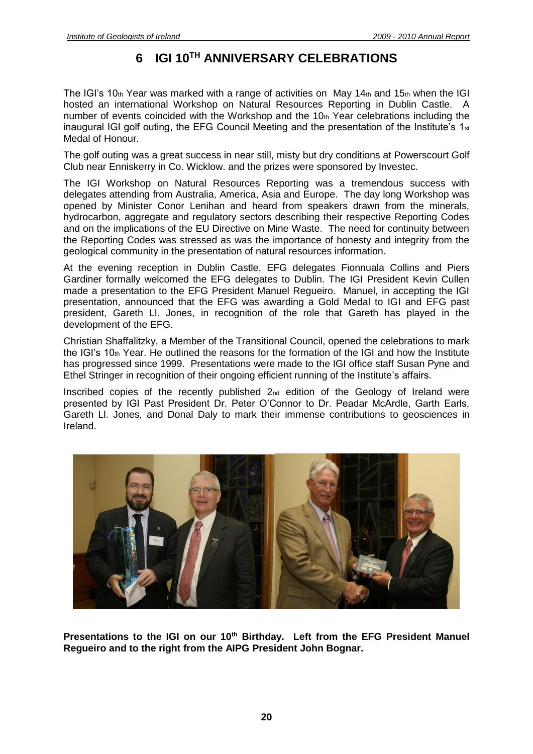## **6 IGI 10TH ANNIVERSARY CELEBRATIONS**

<span id="page-19-0"></span>The IGI's 10th Year was marked with a range of activities on May 14th and 15th when the IGI hosted an international Workshop on Natural Resources Reporting in Dublin Castle. A number of events coincided with the Workshop and the  $10<sub>th</sub>$  Year celebrations including the inaugural IGI golf outing, the EFG Council Meeting and the presentation of the Institute's 1st Medal of Honour.

The golf outing was a great success in near still, misty but dry conditions at Powerscourt Golf Club near Enniskerry in Co. Wicklow. and the prizes were sponsored by Investec.

The IGI Workshop on Natural Resources Reporting was a tremendous success with delegates attending from Australia, America, Asia and Europe. The day long Workshop was opened by Minister Conor Lenihan and heard from speakers drawn from the minerals, hydrocarbon, aggregate and regulatory sectors describing their respective Reporting Codes and on the implications of the EU Directive on Mine Waste. The need for continuity between the Reporting Codes was stressed as was the importance of honesty and integrity from the geological community in the presentation of natural resources information.

At the evening reception in Dublin Castle, EFG delegates Fionnuala Collins and Piers Gardiner formally welcomed the EFG delegates to Dublin. The IGI President Kevin Cullen made a presentation to the EFG President Manuel Regueiro. Manuel, in accepting the IGI presentation, announced that the EFG was awarding a Gold Medal to IGI and EFG past president, Gareth Ll. Jones, in recognition of the role that Gareth has played in the development of the EFG.

Christian Shaffalitzky, a Member of the Transitional Council, opened the celebrations to mark the IGI's  $10<sub>th</sub>$  Year. He outlined the reasons for the formation of the IGI and how the Institute has progressed since 1999. Presentations were made to the IGI office staff Susan Pyne and Ethel Stringer in recognition of their ongoing efficient running of the Institute's affairs.

Inscribed copies of the recently published 2nd edition of the Geology of Ireland were presented by IGI Past President Dr. Peter O'Connor to Dr. Peadar McArdle, Garth Earls, Gareth Ll. Jones, and Donal Daly to mark their immense contributions to geosciences in Ireland.



**Presentations to the IGI on our 10th Birthday. Left from the EFG President Manuel Regueiro and to the right from the AIPG President John Bognar.**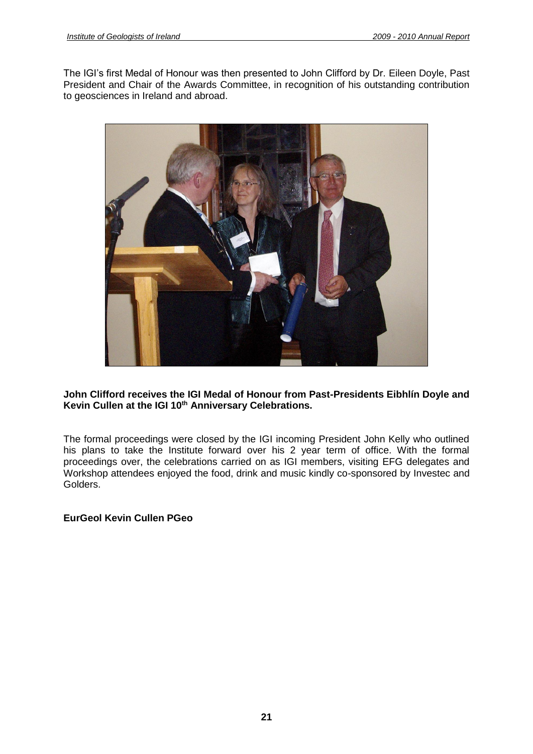The IGI's first Medal of Honour was then presented to John Clifford by Dr. Eileen Doyle, Past President and Chair of the Awards Committee, in recognition of his outstanding contribution to geosciences in Ireland and abroad.



#### **John Clifford receives the IGI Medal of Honour from Past-Presidents Eibhlín Doyle and Kevin Cullen at the IGI 10th Anniversary Celebrations.**

The formal proceedings were closed by the IGI incoming President John Kelly who outlined his plans to take the Institute forward over his 2 year term of office. With the formal proceedings over, the celebrations carried on as IGI members, visiting EFG delegates and Workshop attendees enjoyed the food, drink and music kindly co-sponsored by Investec and Golders.

#### **EurGeol Kevin Cullen PGeo**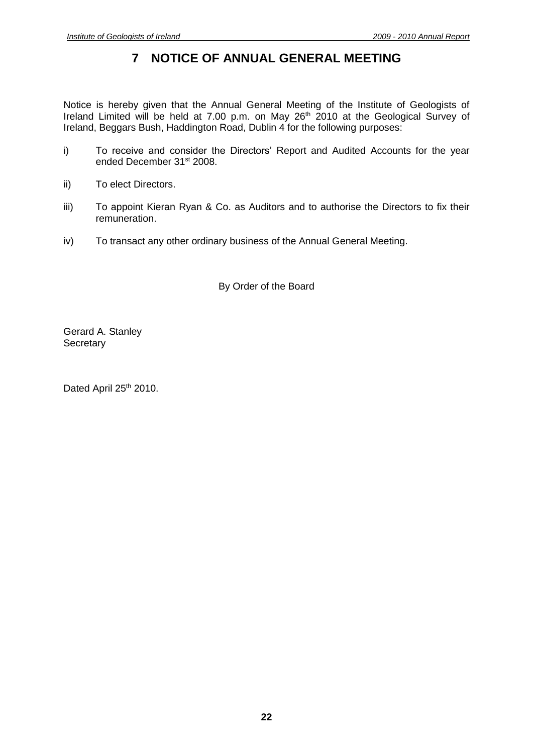## **7 NOTICE OF ANNUAL GENERAL MEETING**

<span id="page-21-0"></span>Notice is hereby given that the Annual General Meeting of the Institute of Geologists of Ireland Limited will be held at 7.00 p.m. on May 26<sup>th</sup> 2010 at the Geological Survey of Ireland, Beggars Bush, Haddington Road, Dublin 4 for the following purposes:

- i) To receive and consider the Directors' Report and Audited Accounts for the year ended December 31<sup>st</sup> 2008.
- ii) To elect Directors.
- iii) To appoint Kieran Ryan & Co. as Auditors and to authorise the Directors to fix their remuneration.
- iv) To transact any other ordinary business of the Annual General Meeting.

By Order of the Board

Gerard A. Stanley **Secretary** 

Dated April 25<sup>th</sup> 2010.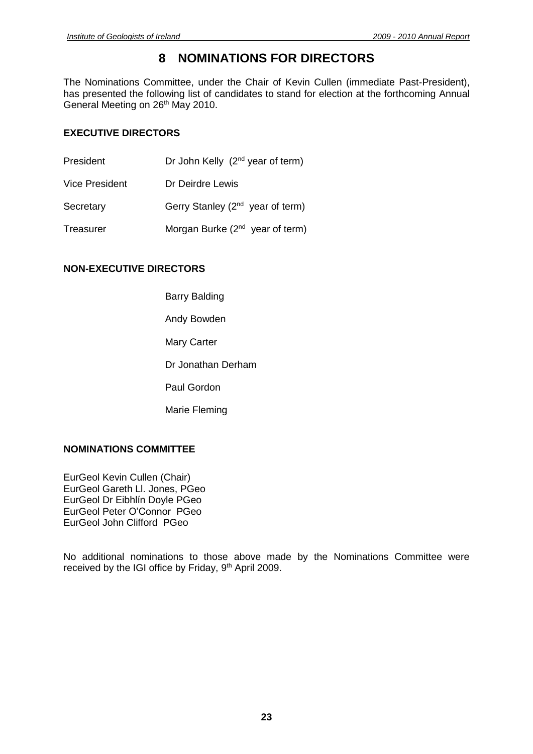## **8 NOMINATIONS FOR DIRECTORS**

<span id="page-22-0"></span>The Nominations Committee, under the Chair of Kevin Cullen (immediate Past-President), has presented the following list of candidates to stand for election at the forthcoming Annual General Meeting on 26<sup>th</sup> May 2010.

#### **EXECUTIVE DIRECTORS**

| President             | Dr John Kelly $(2^{nd}$ year of term)        |
|-----------------------|----------------------------------------------|
| <b>Vice President</b> | Dr Deirdre Lewis                             |
| Secretary             | Gerry Stanley (2 <sup>nd</sup> year of term) |
| Treasurer             | Morgan Burke (2 <sup>nd</sup> year of term)  |

#### **NON-EXECUTIVE DIRECTORS**

- Barry Balding
- Andy Bowden
- Mary Carter
- Dr Jonathan Derham
- Paul Gordon
- Marie Fleming

#### **NOMINATIONS COMMITTEE**

EurGeol Kevin Cullen (Chair) EurGeol Gareth Ll. Jones, PGeo EurGeol Dr Eibhlín Doyle PGeo EurGeol Peter O'Connor PGeo EurGeol John Clifford PGeo

No additional nominations to those above made by the Nominations Committee were received by the IGI office by Friday, 9<sup>th</sup> April 2009.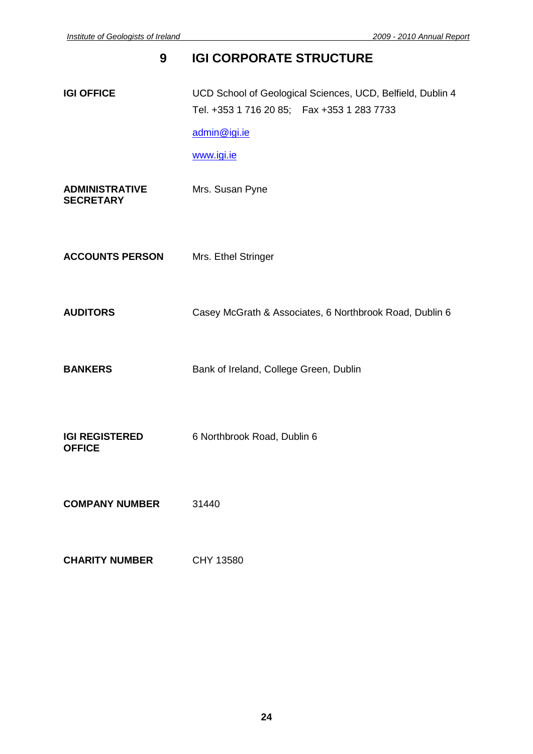# <span id="page-23-0"></span>**9 IGI CORPORATE STRUCTURE IGI OFFICE** UCD School of Geological Sciences, UCD, Belfield, Dublin 4 Tel. +353 1 716 20 85; Fax +353 1 283 7733 [admin@igi.ie](mailto:admin@igi.ie) [www.igi.ie](http://www.igi.ie/) **ADMINISTRATIVE** Mrs. Susan Pyne **SECRETARY ACCOUNTS PERSON** Mrs. Ethel Stringer **AUDITORS** Casey McGrath & Associates, 6 Northbrook Road, Dublin 6 **BANKERS** Bank of Ireland, College Green, Dublin **IGI REGISTERED** 6 Northbrook Road, Dublin 6 **OFFICE**

**COMPANY NUMBER** 31440

| <b>CHARITY NUMBER</b> |  | CHY 13580 |
|-----------------------|--|-----------|
|                       |  |           |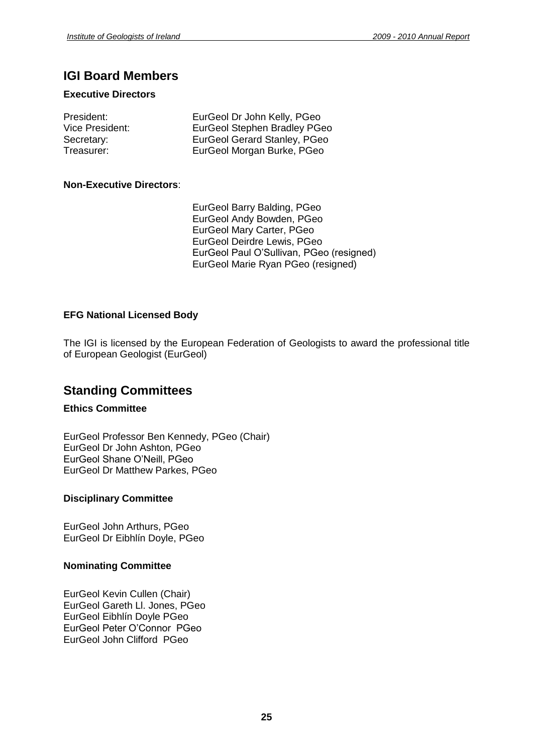## **IGI Board Members**

#### **Executive Directors**

| President:      | EurGeol Dr John Kelly, PGeo         |
|-----------------|-------------------------------------|
| Vice President: | <b>EurGeol Stephen Bradley PGeo</b> |
| Secretary:      | EurGeol Gerard Stanley, PGeo        |
| Treasurer:      | EurGeol Morgan Burke, PGeo          |

#### **Non-Executive Directors**:

EurGeol Barry Balding, PGeo EurGeol Andy Bowden, PGeo EurGeol Mary Carter, PGeo EurGeol Deirdre Lewis, PGeo EurGeol Paul O'Sullivan, PGeo (resigned) EurGeol Marie Ryan PGeo (resigned)

#### **EFG National Licensed Body**

The IGI is licensed by the European Federation of Geologists to award the professional title of European Geologist (EurGeol)

### **Standing Committees**

#### **Ethics Committee**

EurGeol Professor Ben Kennedy, PGeo (Chair) EurGeol Dr John Ashton, PGeo EurGeol Shane O'Neill, PGeo EurGeol Dr Matthew Parkes, PGeo

#### **Disciplinary Committee**

EurGeol John Arthurs, PGeo EurGeol Dr Eibhlín Doyle, PGeo

#### **Nominating Committee**

EurGeol Kevin Cullen (Chair) EurGeol Gareth Ll. Jones, PGeo EurGeol Eibhlín Doyle PGeo EurGeol Peter O'Connor PGeo EurGeol John Clifford PGeo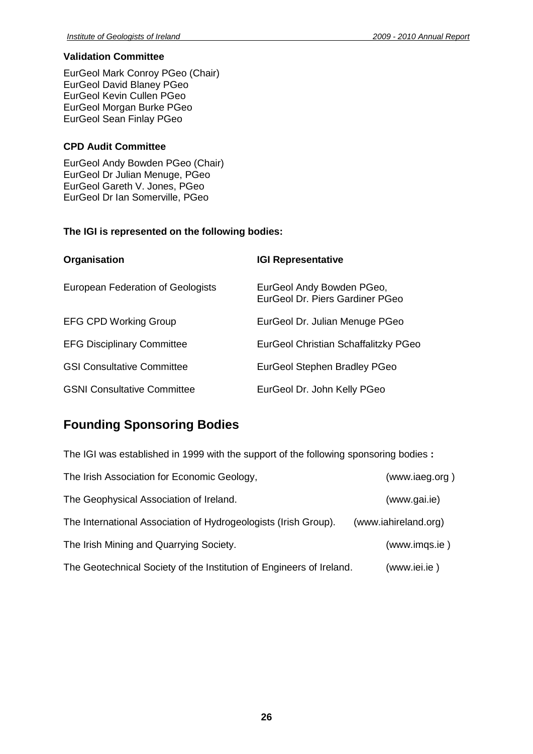#### **Validation Committee**

EurGeol Mark Conroy PGeo (Chair) EurGeol David Blaney PGeo EurGeol Kevin Cullen PGeo EurGeol Morgan Burke PGeo EurGeol Sean Finlay PGeo

#### **CPD Audit Committee**

EurGeol Andy Bowden PGeo (Chair) EurGeol Dr Julian Menuge, PGeo EurGeol Gareth V. Jones, PGeo EurGeol Dr Ian Somerville, PGeo

#### **The IGI is represented on the following bodies:**

| Organisation                       | <b>IGI Representative</b>                                    |
|------------------------------------|--------------------------------------------------------------|
| European Federation of Geologists  | EurGeol Andy Bowden PGeo,<br>EurGeol Dr. Piers Gardiner PGeo |
| <b>EFG CPD Working Group</b>       | EurGeol Dr. Julian Menuge PGeo                               |
| <b>EFG Disciplinary Committee</b>  | EurGeol Christian Schaffalitzky PGeo                         |
| <b>GSI Consultative Committee</b>  | <b>EurGeol Stephen Bradley PGeo</b>                          |
| <b>GSNI Consultative Committee</b> | EurGeol Dr. John Kelly PGeo                                  |

## **Founding Sponsoring Bodies**

| The IGI was established in 1999 with the support of the following sponsoring bodies : |                      |  |
|---------------------------------------------------------------------------------------|----------------------|--|
| The Irish Association for Economic Geology,                                           | (www.iaeg.org)       |  |
| The Geophysical Association of Ireland.                                               | (www.gai.ie)         |  |
| The International Association of Hydrogeologists (Irish Group).                       | (www.iahireland.org) |  |
| The Irish Mining and Quarrying Society.                                               | (www.imgs.ie)        |  |
| The Geotechnical Society of the Institution of Engineers of Ireland.                  | (www.iei.ie)         |  |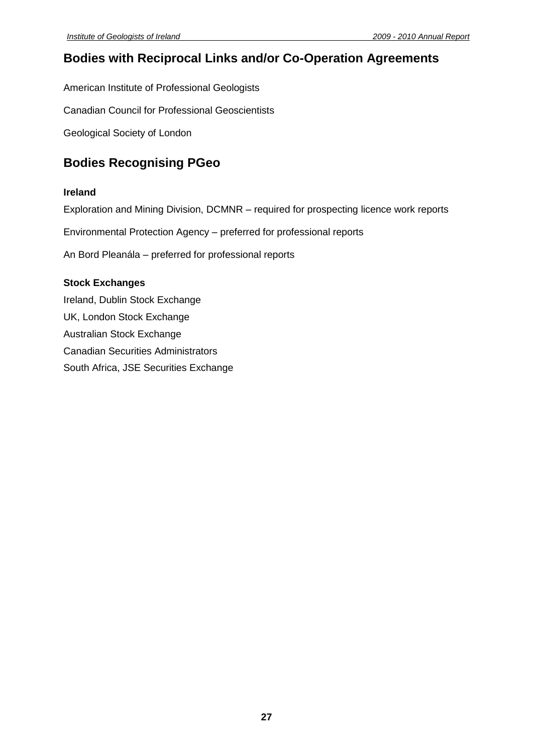## **Bodies with Reciprocal Links and/or Co-Operation Agreements**

American Institute of Professional Geologists

Canadian Council for Professional Geoscientists

Geological Society of London

## **Bodies Recognising PGeo**

#### **Ireland**

Exploration and Mining Division, DCMNR – required for prospecting licence work reports

Environmental Protection Agency – preferred for professional reports

An Bord Pleanála – preferred for professional reports

#### **Stock Exchanges**

Ireland, Dublin Stock Exchange UK, London Stock Exchange Australian Stock Exchange Canadian Securities Administrators South Africa, JSE Securities Exchange